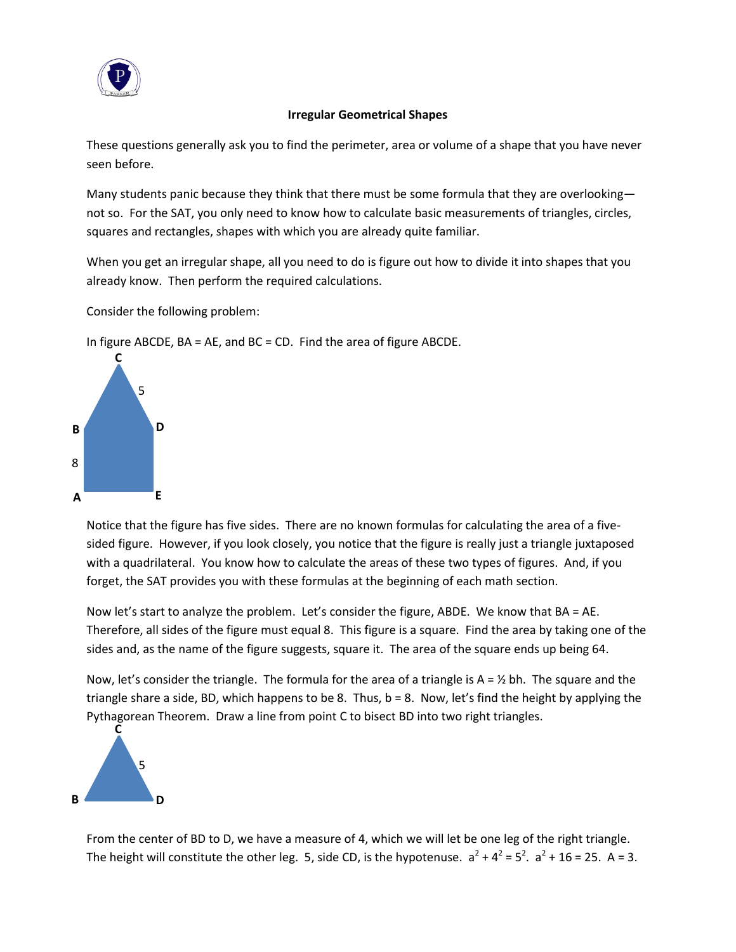

### **Irregular Geometrical Shapes**

These questions generally ask you to find the perimeter, area or volume of a shape that you have never seen before.

Many students panic because they think that there must be some formula that they are overlooking not so. For the SAT, you only need to know how to calculate basic measurements of triangles, circles, squares and rectangles, shapes with which you are already quite familiar.

When you get an irregular shape, all you need to do is figure out how to divide it into shapes that you already know. Then perform the required calculations.

Consider the following problem:



In figure ABCDE, BA = AE, and BC = CD. Find the area of figure ABCDE.

Notice that the figure has five sides. There are no known formulas for calculating the area of a fivesided figure. However, if you look closely, you notice that the figure is really just a triangle juxtaposed with a quadrilateral. You know how to calculate the areas of these two types of figures. And, if you forget, the SAT provides you with these formulas at the beginning of each math section.

Now let's start to analyze the problem. Let's consider the figure, ABDE. We know that BA = AE. Therefore, all sides of the figure must equal 8. This figure is a square. Find the area by taking one of the sides and, as the name of the figure suggests, square it. The area of the square ends up being 64.

Now, let's consider the triangle. The formula for the area of a triangle is  $A = \frac{1}{2}$  bh. The square and the triangle share a side, BD, which happens to be 8. Thus,  $b = 8$ . Now, let's find the height by applying the Pythagorean Theorem. Draw a line from point C to bisect BD into two right triangles.



From the center of BD to D, we have a measure of 4, which we will let be one leg of the right triangle. The height will constitute the other leg. 5, side CD, is the hypotenuse.  $a^2 + 4^2 = 5^2$ .  $a^2 + 16 = 25$ . A = 3.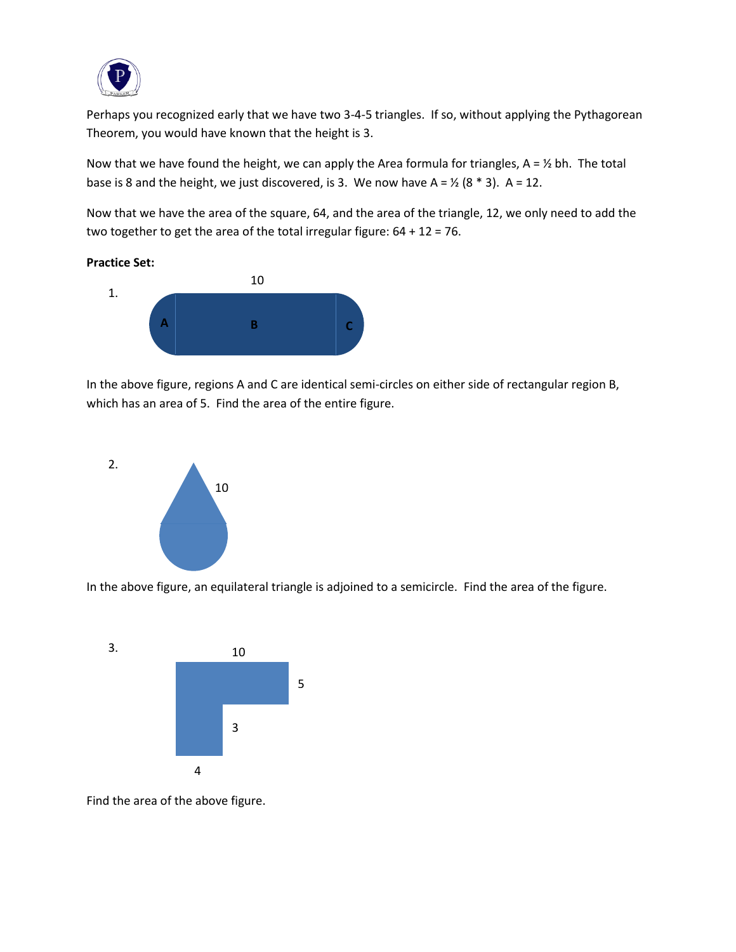

Perhaps you recognized early that we have two 3-4-5 triangles. If so, without applying the Pythagorean Theorem, you would have known that the height is 3.

Now that we have found the height, we can apply the Area formula for triangles,  $A = \frac{1}{2}$  bh. The total base is 8 and the height, we just discovered, is 3. We now have  $A = \frac{1}{2} (8 * 3)$ . A = 12.

Now that we have the area of the square, 64, and the area of the triangle, 12, we only need to add the two together to get the area of the total irregular figure: 64 + 12 = 76.

#### **Practice Set:**



In the above figure, regions A and C are identical semi-circles on either side of rectangular region B, which has an area of 5. Find the area of the entire figure.



In the above figure, an equilateral triangle is adjoined to a semicircle. Find the area of the figure.



Find the area of the above figure.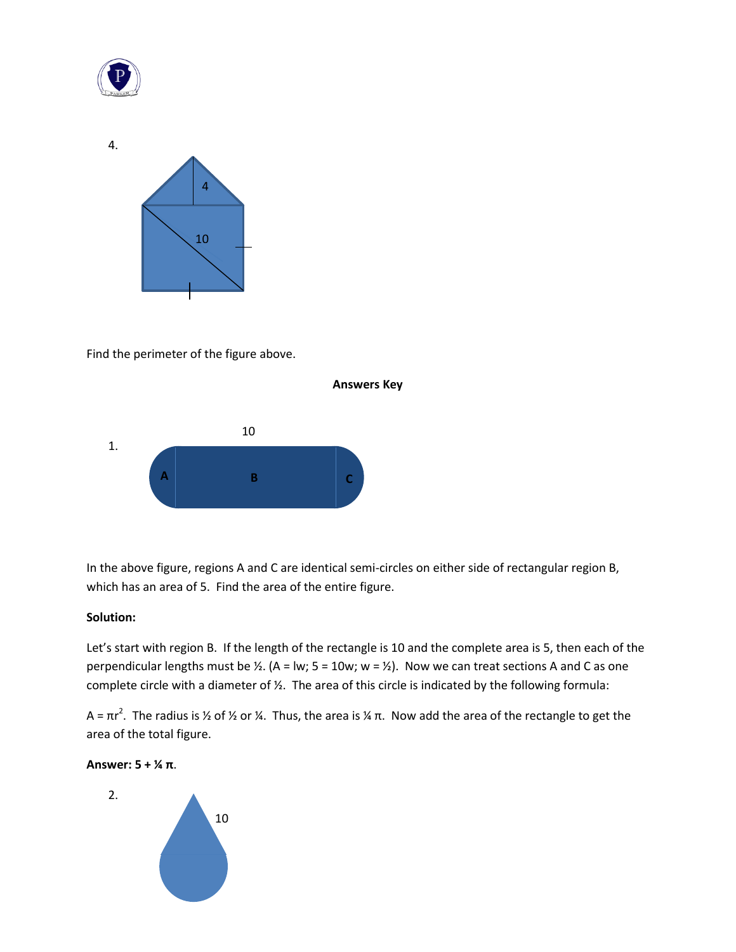

4.



Find the perimeter of the figure above.



In the above figure, regions A and C are identical semi-circles on either side of rectangular region B, which has an area of 5. Find the area of the entire figure.

### **Solution:**

Let's start with region B. If the length of the rectangle is 10 and the complete area is 5, then each of the perpendicular lengths must be  $\frac{1}{2}$ . (A = lw; 5 = 10w; w =  $\frac{1}{2}$ ). Now we can treat sections A and C as one complete circle with a diameter of ½. The area of this circle is indicated by the following formula:

A =  $\pi$ r<sup>2</sup>. The radius is ½ of ½ or ¼. Thus, the area is ¼ π. Now add the area of the rectangle to get the area of the total figure.



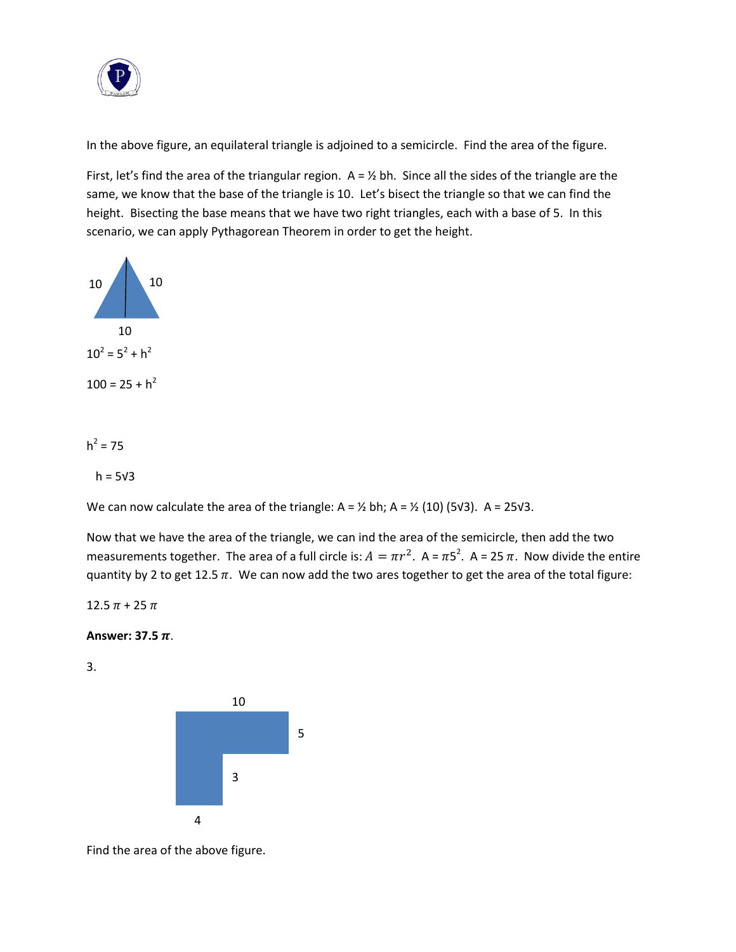

In the above figure, an equilateral triangle is adjoined to a semicircle. Find the area of the figure.

First, let's find the area of the triangular region.  $A = \frac{1}{2}$  bh. Since all the sides of the triangle are the same, we know that the base of the triangle is 10. Let's bisect the triangle so that we can find the height. Bisecting the base means that we have two right triangles, each with a base of 5. In this scenario, we can apply Pythagorean Theorem in order to get the height.



 $h^2 = 75$ 

 $h = 5<sup>3</sup>$ 

We can now calculate the area of the triangle: A =  $\frac{1}{2}$  bh; A =  $\frac{1}{2}$  (10) (5√3). A = 25√3.

Now that we have the area of the triangle, we can ind the area of the semicircle, then add the two measurements together. The area of a full circle is:  $A = \pi r^2$ . A =  $\pi 5^2$ . A = 25  $\pi$ . Now divide the entire quantity by 2 to get 12.5  $\pi$ . We can now add the two ares together to get the area of the total figure:

 $12.5 \pi + 25 \pi$ 

Answer:  $37.5 \pi$ .

3.



Find the area of the above figure.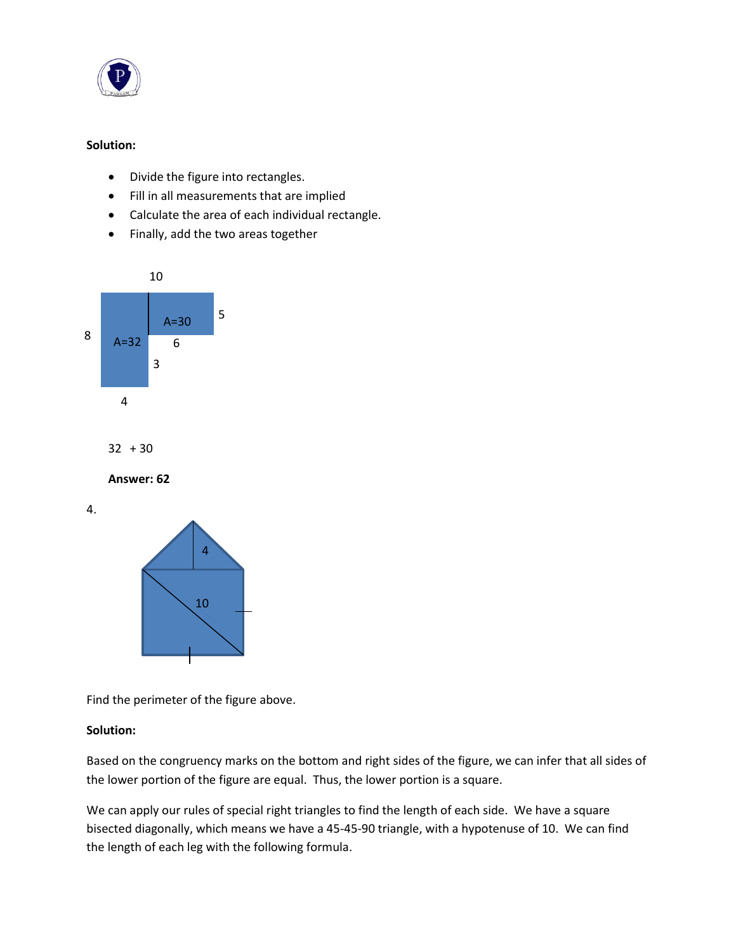

## **Solution:**

- Divide the figure into rectangles.
- Fill in all measurements that are implied
- Calculate the area of each individual rectangle.
- Finally, add the two areas together



 $32 + 30$ 

**Answer: 62**

4.



Find the perimeter of the figure above.

# **Solution:**

Based on the congruency marks on the bottom and right sides of the figure, we can infer that all sides of the lower portion of the figure are equal. Thus, the lower portion is a square.

We can apply our rules of special right triangles to find the length of each side. We have a square bisected diagonally, which means we have a 45-45-90 triangle, with a hypotenuse of 10. We can find the length of each leg with the following formula.